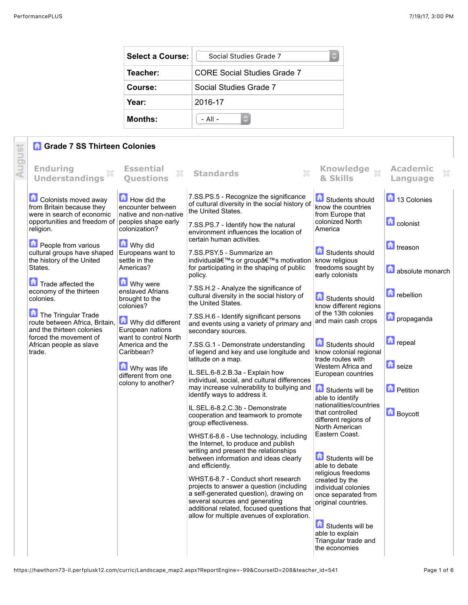| <b>Select a Course:</b> | Social Studies Grade 7      |  |  |
|-------------------------|-----------------------------|--|--|
| Teacher:                | CORE Social Studies Grade 7 |  |  |
| Course:                 | Social Studies Grade 7      |  |  |
| Year:                   | 2016-17                     |  |  |
| <b>Months:</b>          | $-$ All $-$                 |  |  |

## *G* Grade 7 SS Thirteen Colonies

|        | <b>Grade 7 SS Thirteen Colonies</b>                                                                                                                                                                                                                                                                                                                                                                                                                  |                                                                                                                                                                                                                                                                                                                                                                                                                 |                                                                                                                                                                                                                                                                                                                                                                                                                                                                                                                                                                                                                                                                                                                                                                                                                                                                                                                                                                                                                                                                                                                                                                                                                                                                                                                                          |                                                                                                                                                                                                                                                                                                                                                                                                                                                                                                                                                                                                                                                                    |                                                                                                                                                                                        |
|--------|------------------------------------------------------------------------------------------------------------------------------------------------------------------------------------------------------------------------------------------------------------------------------------------------------------------------------------------------------------------------------------------------------------------------------------------------------|-----------------------------------------------------------------------------------------------------------------------------------------------------------------------------------------------------------------------------------------------------------------------------------------------------------------------------------------------------------------------------------------------------------------|------------------------------------------------------------------------------------------------------------------------------------------------------------------------------------------------------------------------------------------------------------------------------------------------------------------------------------------------------------------------------------------------------------------------------------------------------------------------------------------------------------------------------------------------------------------------------------------------------------------------------------------------------------------------------------------------------------------------------------------------------------------------------------------------------------------------------------------------------------------------------------------------------------------------------------------------------------------------------------------------------------------------------------------------------------------------------------------------------------------------------------------------------------------------------------------------------------------------------------------------------------------------------------------------------------------------------------------|--------------------------------------------------------------------------------------------------------------------------------------------------------------------------------------------------------------------------------------------------------------------------------------------------------------------------------------------------------------------------------------------------------------------------------------------------------------------------------------------------------------------------------------------------------------------------------------------------------------------------------------------------------------------|----------------------------------------------------------------------------------------------------------------------------------------------------------------------------------------|
|        | <b>Enduring</b><br><b>Understandings</b>                                                                                                                                                                                                                                                                                                                                                                                                             | <b>Essential</b><br>X<br><b>Ouestions</b>                                                                                                                                                                                                                                                                                                                                                                       | X<br><b>Standards</b>                                                                                                                                                                                                                                                                                                                                                                                                                                                                                                                                                                                                                                                                                                                                                                                                                                                                                                                                                                                                                                                                                                                                                                                                                                                                                                                    | Knowledge xx<br>& Skills                                                                                                                                                                                                                                                                                                                                                                                                                                                                                                                                                                                                                                           | <b>Academic</b><br>×<br>Language                                                                                                                                                       |
| August | Colonists moved away<br>from Britain because they<br>were in search of economic<br>opportunities and freedom of<br>religion.<br><b>People from various</b><br>cultural groups have shaped<br>the history of the United<br>States.<br>Trade affected the<br>economy of the thirteen<br>colonies.<br>The Tringular Trade<br>route between Africa, Britain,<br>and the thirteen colonies<br>forced the movement of<br>African people as slave<br>trade. | How did the<br>encounter between<br>native and non-native<br>peoples shape early<br>colonization?<br>Why did<br>Europeans want to<br>settle in the<br>Americas?<br><b>M</b> Why were<br>enslaved Afrians<br>brought to the<br>colonies?<br>Why did different<br>European nations<br>want to control North<br>America and the<br>Caribbean?<br><b>M</b> Why was life<br>different from one<br>colony to another? | 7.SS.PS.5 - Recognize the significance<br>of cultural diversity in the social history of<br>the United States.<br>7.SS.PS.7 - Identify how the natural<br>environment influences the location of<br>certain human activities.<br>7.SS.PSY.5 - Summarize an<br>individual's or group's motivation know religious<br>for participating in the shaping of public<br>policy.<br>7.SS.H.2 - Analyze the significance of<br>cultural diversity in the social history of<br>the United States.<br>7.SS.H.6 - Identify significant persons<br>and events using a variety of primary and<br>secondary sources.<br>7.SS.G.1 - Demonstrate understanding<br>of legend and key and use longitude and<br>latitude on a map.<br>IL.SEL.6-8.2.B.3a - Explain how<br>individual, social, and cultural differences<br>may increase vulnerability to bullying and<br>identify ways to address it.<br>IL.SEL.6-8.2.C.3b - Demonstrate<br>cooperation and teamwork to promote<br>group effectiveness.<br>WHST.6-8.6 - Use technology, including<br>the Internet, to produce and publish<br>writing and present the relationships<br>between information and ideas clearly<br>and efficiently.<br>WHST.6-8.7 - Conduct short research<br>projects to answer a question (including<br>a self-generated question), drawing on<br>several sources and generating | Students should<br>know the countries<br>from Europe that<br>colonized North<br>America<br>Students should<br>freedoms sought by<br>early colonists<br>Students should<br>know different regions<br>of the 13th colonies<br>and main cash crops<br>Students should<br>know colonial regional<br>trade routes with<br>Western Africa and<br>European countries<br>Students will be<br>able to identify<br>nationalities/countries<br>that controlled<br>different regions of<br>North American<br>Eastern Coast.<br>Students will be<br>able to debate<br>religious freedoms<br>created by the<br>individual colonies<br>once separated from<br>original countries. | 13 Colonies<br><b>C</b> colonist<br><b>n</b> treason<br>absolute monarch<br><b>D</b> rebellion<br>propaganda<br><b>h</b> repeal<br>$\Box$ seize<br><b>D</b> Petition<br><b>Boycott</b> |
|        |                                                                                                                                                                                                                                                                                                                                                                                                                                                      |                                                                                                                                                                                                                                                                                                                                                                                                                 | additional related, focused questions that<br>allow for multiple avenues of exploration.                                                                                                                                                                                                                                                                                                                                                                                                                                                                                                                                                                                                                                                                                                                                                                                                                                                                                                                                                                                                                                                                                                                                                                                                                                                 | Students will be<br>able to explain<br>Triangular trade and<br>the economies                                                                                                                                                                                                                                                                                                                                                                                                                                                                                                                                                                                       |                                                                                                                                                                                        |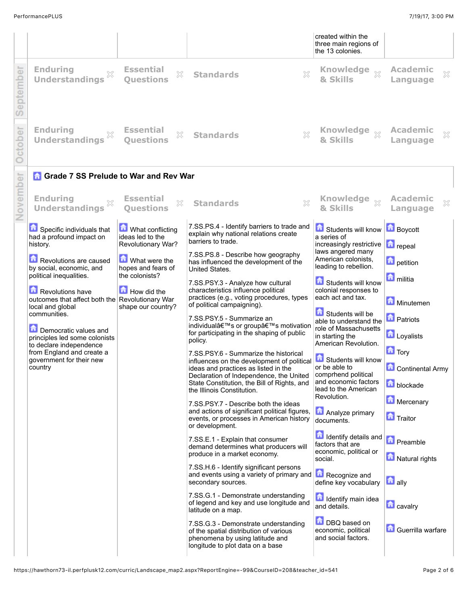|          |                                                                                                                                    |                                                            |                                                                                                                                                                                                                                                     | created within the<br>three main regions of<br>the 13 colonies.                                            |                                                             |
|----------|------------------------------------------------------------------------------------------------------------------------------------|------------------------------------------------------------|-----------------------------------------------------------------------------------------------------------------------------------------------------------------------------------------------------------------------------------------------------|------------------------------------------------------------------------------------------------------------|-------------------------------------------------------------|
| ember    | <b>Enduring</b><br>×<br><b>Understandings</b>                                                                                      | <b>Essential</b><br>$\mathbb{X}$<br><b>Ouestions</b>       | 53<br><b>Standards</b>                                                                                                                                                                                                                              | <b>Knowledge</b><br>$\bar{\chi}^2$<br>& Skills                                                             | <b>Academic</b><br>×<br>Language                            |
| ober     | <b>Enduring</b><br><b>Understandings</b>                                                                                           | <b>Essential</b><br>X<br><b>Ouestions</b>                  | X<br><b>Standards</b>                                                                                                                                                                                                                               | Knowledge $\frac{1}{20}$<br>& Skills                                                                       | <b>Academic</b><br>X<br>Language                            |
|          | <b>n</b> Grade 7 SS Prelude to War and Rev War                                                                                     |                                                            |                                                                                                                                                                                                                                                     |                                                                                                            |                                                             |
| November | <b>Enduring</b><br><b>Understandings</b>                                                                                           | <b>Essential</b><br>X<br><b>Questions</b>                  | X<br><b>Standards</b>                                                                                                                                                                                                                               | <b>Knowledge</b><br>$\chi$<br>& Skills                                                                     | <b>Academic</b><br>×<br>Language                            |
|          | Specific individuals that<br>had a profound impact on<br>history.                                                                  | What conflicting<br>ideas led to the<br>Revolutionary War? | 7.SS.PS.4 - Identify barriers to trade and<br>explain why national relations create<br>barriers to trade.                                                                                                                                           | Students will know<br>a series of<br>increasingly restrictive                                              | <b>Boycott</b><br><b>n</b> repeal                           |
|          | Revolutions are caused<br>by social, economic, and                                                                                 | <b>M</b> What were the<br>hopes and fears of               | 7.SS.PS.8 - Describe how geography<br>has influenced the development of the<br>United States.                                                                                                                                                       | laws angered many<br>American colonists,<br>leading to rebellion.                                          | <b>D</b> petition                                           |
|          | political inequalities.<br>Revolutions have<br>outcomes that affect both the Revolutionary War<br>local and global<br>communities. | the colonists?<br>How did the<br>shape our country?        | 7.SS.PSY.3 - Analyze how cultural<br>characteristics influence political<br>practices (e.g., voting procedures, types<br>of political campaigning).                                                                                                 | Students will know<br>colonial responses to<br>each act and tax.<br>Students will be                       | militia<br>Minutemen                                        |
|          | Democratic values and<br>principles led some colonists<br>to declare independence                                                  |                                                            | 7.SS.PSY.5 - Summarize an<br>individual's or group's motivation<br>for participating in the shaping of public<br>policy.                                                                                                                            | able to understand the<br>role of Massachusetts<br>in starting the<br>American Revolution.                 | <b>n</b> Patriots<br>Loyalists                              |
|          | from England and create a<br>government for their new<br>country                                                                   |                                                            | 7.SS.PSY.6 - Summarize the historical<br>influences on the development of political<br>ideas and practices as listed in the<br>Declaration of Independence, the United<br>State Constitution, the Bill of Rights, and<br>the Illinois Constitution. | Students will know<br>or be able to<br>comprhend political<br>and economic factors<br>lead to the American | <b>n</b> Tory<br><b>Continental Army</b><br><b>blockade</b> |
|          |                                                                                                                                    |                                                            | 7.SS.PSY.7 - Describe both the ideas<br>and actions of significant political figures,<br>events, or processes in American history<br>or development.                                                                                                | Revolution.<br>Analyze primary<br>documents.                                                               | Mercenary<br><b>Traitor</b>                                 |
|          |                                                                                                                                    |                                                            | 7.SS.E.1 - Explain that consumer<br>demand determines what producers will<br>produce in a market economy.                                                                                                                                           | <b>d</b> Identify details and<br>factors that are<br>economic, political or<br>social.                     | <b>n</b> Preamble<br>Natural rights                         |
|          |                                                                                                                                    |                                                            | 7.SS.H.6 - Identify significant persons<br>and events using a variety of primary and<br>secondary sources.                                                                                                                                          | Recognize and<br>define key vocabulary                                                                     | $\Box$ ally                                                 |
|          |                                                                                                                                    |                                                            | 7.SS.G.1 - Demonstrate understanding<br>of legend and key and use longitude and<br>latitude on a map.                                                                                                                                               | <b>d</b> Identify main idea<br>and details.                                                                | <b>T</b> cavalry                                            |
|          |                                                                                                                                    |                                                            | 7.SS.G.3 - Demonstrate understanding<br>of the spatial distribution of various<br>phenomena by using latitude and<br>longitude to plot data on a base                                                                                               | DBQ based on<br>economic, political<br>and social factors.                                                 | <b>Guerrilla warfare</b>                                    |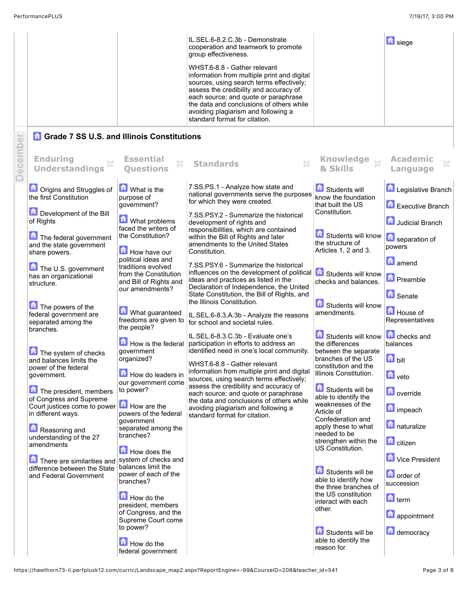|          |                                                                                                                                                                                                                                                                                                                                                                                                                                                                                                                                                                                                                                                                                    |                                                                                                                                                                                                                                                                                                                                                                                                                                                                                                                                                                                                                                                                                   | IL.SEL.6-8.2.C.3b - Demonstrate<br>cooperation and teamwork to promote<br>group effectiveness.<br>WHST.6-8.8 - Gather relevant<br>information from multiple print and digital<br>sources, using search terms effectively;<br>assess the credibility and accuracy of<br>each source; and quote or paraphrase<br>the data and conclusions of others while<br>avoiding plagiarism and following a<br>standard format for citation.                                                                                                                                                                                                                                                                                                                                                                                                                                                                                                                                                                                                                                                                                          |                                                                                                                                                                                                                                                                                                                                                                                                                                                                                                                                                                                                                                                                                              | <b>b</b> siege                                                                                                                                                                                                                                                                                                                                                                                                               |
|----------|------------------------------------------------------------------------------------------------------------------------------------------------------------------------------------------------------------------------------------------------------------------------------------------------------------------------------------------------------------------------------------------------------------------------------------------------------------------------------------------------------------------------------------------------------------------------------------------------------------------------------------------------------------------------------------|-----------------------------------------------------------------------------------------------------------------------------------------------------------------------------------------------------------------------------------------------------------------------------------------------------------------------------------------------------------------------------------------------------------------------------------------------------------------------------------------------------------------------------------------------------------------------------------------------------------------------------------------------------------------------------------|--------------------------------------------------------------------------------------------------------------------------------------------------------------------------------------------------------------------------------------------------------------------------------------------------------------------------------------------------------------------------------------------------------------------------------------------------------------------------------------------------------------------------------------------------------------------------------------------------------------------------------------------------------------------------------------------------------------------------------------------------------------------------------------------------------------------------------------------------------------------------------------------------------------------------------------------------------------------------------------------------------------------------------------------------------------------------------------------------------------------------|----------------------------------------------------------------------------------------------------------------------------------------------------------------------------------------------------------------------------------------------------------------------------------------------------------------------------------------------------------------------------------------------------------------------------------------------------------------------------------------------------------------------------------------------------------------------------------------------------------------------------------------------------------------------------------------------|------------------------------------------------------------------------------------------------------------------------------------------------------------------------------------------------------------------------------------------------------------------------------------------------------------------------------------------------------------------------------------------------------------------------------|
|          | <b>Grade 7 SS U.S. and Illinois Constitutions</b>                                                                                                                                                                                                                                                                                                                                                                                                                                                                                                                                                                                                                                  |                                                                                                                                                                                                                                                                                                                                                                                                                                                                                                                                                                                                                                                                                   |                                                                                                                                                                                                                                                                                                                                                                                                                                                                                                                                                                                                                                                                                                                                                                                                                                                                                                                                                                                                                                                                                                                          |                                                                                                                                                                                                                                                                                                                                                                                                                                                                                                                                                                                                                                                                                              |                                                                                                                                                                                                                                                                                                                                                                                                                              |
| December | <b>Enduring</b><br>X<br><b>Understandings</b>                                                                                                                                                                                                                                                                                                                                                                                                                                                                                                                                                                                                                                      | <b>Essential</b><br>$\mathbb{S}^2$<br><b>Ouestions</b>                                                                                                                                                                                                                                                                                                                                                                                                                                                                                                                                                                                                                            | ×<br><b>Standards</b>                                                                                                                                                                                                                                                                                                                                                                                                                                                                                                                                                                                                                                                                                                                                                                                                                                                                                                                                                                                                                                                                                                    | Knowledge xx<br>& Skills                                                                                                                                                                                                                                                                                                                                                                                                                                                                                                                                                                                                                                                                     | <b>Academic</b><br>×<br>Language                                                                                                                                                                                                                                                                                                                                                                                             |
|          | <b>n</b> Origins and Struggles of<br>the first Constitution<br>Development of the Bill<br>of Rights<br>The federal government<br>and the state government<br>share powers.<br>The U.S. government<br>has an organizational<br>structure.<br>The powers of the<br>federal government are<br>separated among the<br>branches.<br>The system of checks<br>and balances limits the<br>power of the federal<br>government.<br>The president, members<br>of Congress and Supreme<br>Court justices come to power<br>in different ways.<br>Reasoning and<br>understanding of the 27<br>amendments<br>There are similarities and<br>difference between the State<br>and Federal Government | <b>M</b> What is the<br>purpose of<br>government?<br>What problems<br>faced the writers of<br>the Constitution?<br>How have our<br>political ideas and<br>traditions evolved<br>from the Constitution<br>and Bill of Rights and<br>our amendments?<br>What guaranteed<br>freedoms are given to<br>the people?<br>How is the federal<br>government<br>organized?<br>How do leaders in<br>our government come<br>to power?<br>How are the<br>powers of the federal<br>aovernment<br>separated among the<br>branches?<br>How does the<br>system of checks and<br>balances limit the<br>power of each of the<br>branches?<br>How do the<br>president, members<br>of Congress, and the | 7.SS.PS.1 - Analyze how state and<br>national governments serve the purposes<br>for which they were created.<br>7.SS.PSY.2 - Summarize the historical<br>development of rights and<br>responsibilities, which are contained<br>within the Bill of Rights and later<br>amendments to the United States<br>Constitution.<br>7.SS.PSY.6 - Summarize the historical<br>influences on the development of political<br>ideas and practices as listed in the<br>Declaration of Independence, the United<br>State Constitution, the Bill of Rights, and<br>the Illinois Constitution.<br>IL.SEL.6-8.3.A.3b - Analyze the reasons<br>for school and societal rules.<br>IL.SEL.6-8.3.C.3b - Evaluate one's<br>participation in efforts to address an<br>identified need in one's local community.<br>WHST.6-8.8 - Gather relevant<br>information from multiple print and digital<br>sources, using search terms effectively;<br>assess the credibility and accuracy of<br>each source; and quote or paraphrase<br>the data and conclusions of others while<br>avoiding plagiarism and following a<br>standard format for citation. | Students will<br>know the foundation<br>that built the US<br>Constitution.<br>Students will know<br>the structure of<br>Articles 1, 2 and 3.<br>Students will know<br>checks and balances.<br>Students will know<br>amendments.<br>Students will know<br>the differences<br>between the separate<br>branches of the US<br>constitution and the<br>Illinois Constitution.<br>Students will be<br>able to identify the<br>weaknesses of the<br>Article of<br>Confederation and<br>apply these to what<br>needed to be<br>strengthen within the<br>US Constitution.<br>Students will be<br>able to identify how<br>the three branches of<br>the US constitution<br>interact with each<br>other. | <b>Legislative Branch</b><br>Executive Branch<br>Judicial Branch<br>separation of<br>powers<br><b>n</b> amend<br><b>D</b> Preamble<br><b>G</b> Senate<br>House of<br>Representatives<br><b>C</b> checks and<br>balances<br>bill<br>$\blacksquare$ veto<br><b>D</b> override<br><b>n</b> impeach<br>naturalize<br><b>n</b> citizen<br>Vice President<br><b>D</b> order of<br>succession<br>$\blacksquare$ term<br>appointment |
|          |                                                                                                                                                                                                                                                                                                                                                                                                                                                                                                                                                                                                                                                                                    | Supreme Court come<br>to power?<br>How do the<br>federal government                                                                                                                                                                                                                                                                                                                                                                                                                                                                                                                                                                                                               |                                                                                                                                                                                                                                                                                                                                                                                                                                                                                                                                                                                                                                                                                                                                                                                                                                                                                                                                                                                                                                                                                                                          | Students will be<br>able to identify the<br>reason for                                                                                                                                                                                                                                                                                                                                                                                                                                                                                                                                                                                                                                       | democracy                                                                                                                                                                                                                                                                                                                                                                                                                    |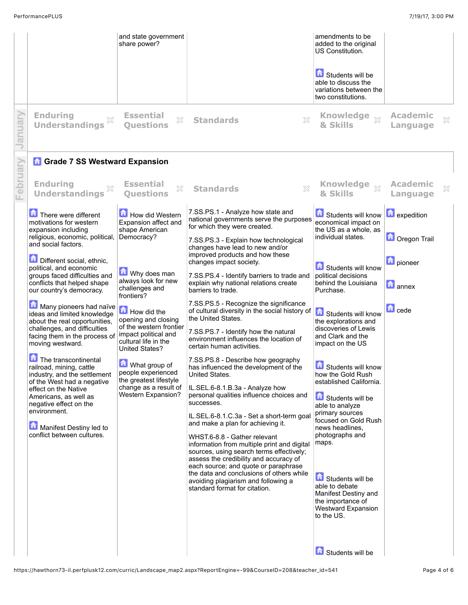|         |                                                                                                                                                                                                                                                                                                                                                                                                                                                                                                                                                                                                                                                                                                                                            | and state government<br>share power?                                                                                                                                                                                                                                                                                                                                                                     |                                                                                                                                                                                                                                                                                                                                                                                                                                                                                                                                                                                                                                                                                                                                                                                                                                                                                                                                                                                                                                                                                                                                                                                                                                                   | amendments to be<br>added to the original<br>US Constitution.<br>Students will be<br>able to discuss the<br>variations between the<br>two constitutions.                                                                                                                                                                                                                                                                                                                                                                                                                                                       |                                                                                                   |   |
|---------|--------------------------------------------------------------------------------------------------------------------------------------------------------------------------------------------------------------------------------------------------------------------------------------------------------------------------------------------------------------------------------------------------------------------------------------------------------------------------------------------------------------------------------------------------------------------------------------------------------------------------------------------------------------------------------------------------------------------------------------------|----------------------------------------------------------------------------------------------------------------------------------------------------------------------------------------------------------------------------------------------------------------------------------------------------------------------------------------------------------------------------------------------------------|---------------------------------------------------------------------------------------------------------------------------------------------------------------------------------------------------------------------------------------------------------------------------------------------------------------------------------------------------------------------------------------------------------------------------------------------------------------------------------------------------------------------------------------------------------------------------------------------------------------------------------------------------------------------------------------------------------------------------------------------------------------------------------------------------------------------------------------------------------------------------------------------------------------------------------------------------------------------------------------------------------------------------------------------------------------------------------------------------------------------------------------------------------------------------------------------------------------------------------------------------|----------------------------------------------------------------------------------------------------------------------------------------------------------------------------------------------------------------------------------------------------------------------------------------------------------------------------------------------------------------------------------------------------------------------------------------------------------------------------------------------------------------------------------------------------------------------------------------------------------------|---------------------------------------------------------------------------------------------------|---|
| anuary  | <b>Enduring</b><br>×<br><b>Understandings</b>                                                                                                                                                                                                                                                                                                                                                                                                                                                                                                                                                                                                                                                                                              | <b>Essential</b><br>X<br><b>Ouestions</b>                                                                                                                                                                                                                                                                                                                                                                | <b>Standards</b><br>X                                                                                                                                                                                                                                                                                                                                                                                                                                                                                                                                                                                                                                                                                                                                                                                                                                                                                                                                                                                                                                                                                                                                                                                                                             | <b>Knowledge</b><br>$\chi$<br>& Skills                                                                                                                                                                                                                                                                                                                                                                                                                                                                                                                                                                         | <b>Academic</b><br>Language                                                                       | × |
|         | <b>n</b> Grade 7 SS Westward Expansion                                                                                                                                                                                                                                                                                                                                                                                                                                                                                                                                                                                                                                                                                                     |                                                                                                                                                                                                                                                                                                                                                                                                          |                                                                                                                                                                                                                                                                                                                                                                                                                                                                                                                                                                                                                                                                                                                                                                                                                                                                                                                                                                                                                                                                                                                                                                                                                                                   |                                                                                                                                                                                                                                                                                                                                                                                                                                                                                                                                                                                                                |                                                                                                   |   |
| epruary | <b>Enduring</b><br><b>Understandings</b>                                                                                                                                                                                                                                                                                                                                                                                                                                                                                                                                                                                                                                                                                                   | <b>Essential</b><br>X<br><b>Ouestions</b>                                                                                                                                                                                                                                                                                                                                                                | X<br><b>Standards</b>                                                                                                                                                                                                                                                                                                                                                                                                                                                                                                                                                                                                                                                                                                                                                                                                                                                                                                                                                                                                                                                                                                                                                                                                                             | Knowledge<br>$\chi$<br>& Skills                                                                                                                                                                                                                                                                                                                                                                                                                                                                                                                                                                                | <b>Academic</b><br>Language                                                                       | × |
|         | There were different<br>motivations for western<br>expansion including<br>religious, economic, political,<br>and social factors.<br>Different social, ethnic,<br>political, and economic<br>groups faced difficulties and<br>conflicts that helped shape<br>our country's democracy.<br>Many pioneers had naïve<br>ideas and limited knowledge<br>about the real opportunities,<br>challenges, and difficulties<br>facing them in the process of<br>moving westward.<br>The transcontinental<br>railroad, mining, cattle<br>industry, and the settlement<br>of the West had a negative<br>effect on the Native<br>Americans, as well as<br>negative effect on the<br>environment.<br>Manifest Destiny led to<br>conflict between cultures. | How did Western<br>Expansion affect and<br>shape American<br>Democracy?<br>Why does man<br>always look for new<br>challenges and<br>frontiers?<br>How did the<br>opening and closing<br>of the western frontier<br>impact political and<br>cultural life in the<br><b>United States?</b><br>What group of<br>people experienced<br>the greatest lifestyle<br>change as a result of<br>Western Expansion? | 7.SS.PS.1 - Analyze how state and<br>national governments serve the purposes<br>for which they were created.<br>7.SS.PS.3 - Explain how technological<br>changes have lead to new and/or<br>improved products and how these<br>changes impact society.<br>7.SS.PS.4 - Identify barriers to trade and<br>explain why national relations create<br>barriers to trade.<br>7.SS.PS.5 - Recognize the significance<br>of cultural diversity in the social history of <b>6</b> Students will know<br>the United States.<br>7.SS.PS.7 - Identify how the natural<br>environment influences the location of<br>certain human activities.<br>7.SS.PS.8 - Describe how geography<br>has influenced the development of the<br>United States.<br>IL.SEL.6-8.1.B.3a - Analyze how<br>personal qualities influence choices and<br>successes.<br>IL.SEL.6-8.1.C.3a - Set a short-term goal<br>and make a plan for achieving it.<br>WHST.6-8.8 - Gather relevant<br>information from multiple print and digital<br>sources, using search terms effectively;<br>assess the credibility and accuracy of<br>each source; and quote or paraphrase<br>the data and conclusions of others while<br>avoiding plagiarism and following a<br>standard format for citation. | Students will know<br>economical impact on<br>the US as a whole, as<br>individual states.<br>Students will know<br>political decisions<br>behind the Louisiana<br>Purchase.<br>the explorations and<br>discoveries of Lewis<br>and Clark and the<br>impact on the US<br>靑<br>Students will know<br>how the Gold Rush<br>established California.<br>Students will be<br>able to analyze<br>primary sources<br>focused on Gold Rush<br>news headlines.<br>photographs and<br>maps.<br>Students will be<br>able to debate<br>Manifest Destiny and<br>the importance of<br><b>Westward Expansion</b><br>to the US. | <b>Expedition</b><br><b>D</b> Oregon Trail<br><b>D</b> pioneer<br><b>h</b> annex<br><b>n</b> cede |   |
|         |                                                                                                                                                                                                                                                                                                                                                                                                                                                                                                                                                                                                                                                                                                                                            |                                                                                                                                                                                                                                                                                                                                                                                                          |                                                                                                                                                                                                                                                                                                                                                                                                                                                                                                                                                                                                                                                                                                                                                                                                                                                                                                                                                                                                                                                                                                                                                                                                                                                   | Students will be                                                                                                                                                                                                                                                                                                                                                                                                                                                                                                                                                                                               |                                                                                                   |   |